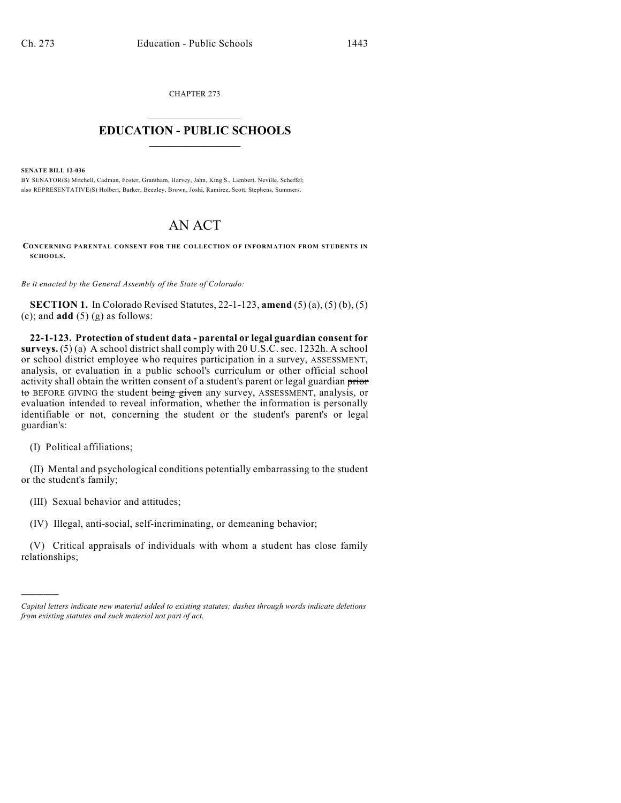CHAPTER 273  $\overline{\phantom{a}}$  . The set of the set of the set of the set of the set of the set of the set of the set of the set of the set of the set of the set of the set of the set of the set of the set of the set of the set of the set o

## **EDUCATION - PUBLIC SCHOOLS**  $\_$   $\_$   $\_$   $\_$   $\_$   $\_$   $\_$   $\_$   $\_$

**SENATE BILL 12-036**

BY SENATOR(S) Mitchell, Cadman, Foster, Grantham, Harvey, Jahn, King S., Lambert, Neville, Scheffel; also REPRESENTATIVE(S) Holbert, Barker, Beezley, Brown, Joshi, Ramirez, Scott, Stephens, Summers.

## AN ACT

**CONCERNING PARENTAL CONSENT FOR THE COLLECTION OF INFORMATION FROM STUDENTS IN SCHOOLS.**

*Be it enacted by the General Assembly of the State of Colorado:*

**SECTION 1.** In Colorado Revised Statutes, 22-1-123, **amend** (5) (a), (5) (b), (5) (c); and **add**  $(5)$  (g) as follows:

**22-1-123. Protection of student data - parental or legal guardian consent for surveys.** (5) (a) A school district shall comply with 20 U.S.C. sec. 1232h. A school or school district employee who requires participation in a survey, ASSESSMENT, analysis, or evaluation in a public school's curriculum or other official school activity shall obtain the written consent of a student's parent or legal guardian prior to BEFORE GIVING the student being given any survey, ASSESSMENT, analysis, or evaluation intended to reveal information, whether the information is personally identifiable or not, concerning the student or the student's parent's or legal guardian's:

(I) Political affiliations;

)))))

(II) Mental and psychological conditions potentially embarrassing to the student or the student's family;

(III) Sexual behavior and attitudes;

(IV) Illegal, anti-social, self-incriminating, or demeaning behavior;

(V) Critical appraisals of individuals with whom a student has close family relationships;

*Capital letters indicate new material added to existing statutes; dashes through words indicate deletions from existing statutes and such material not part of act.*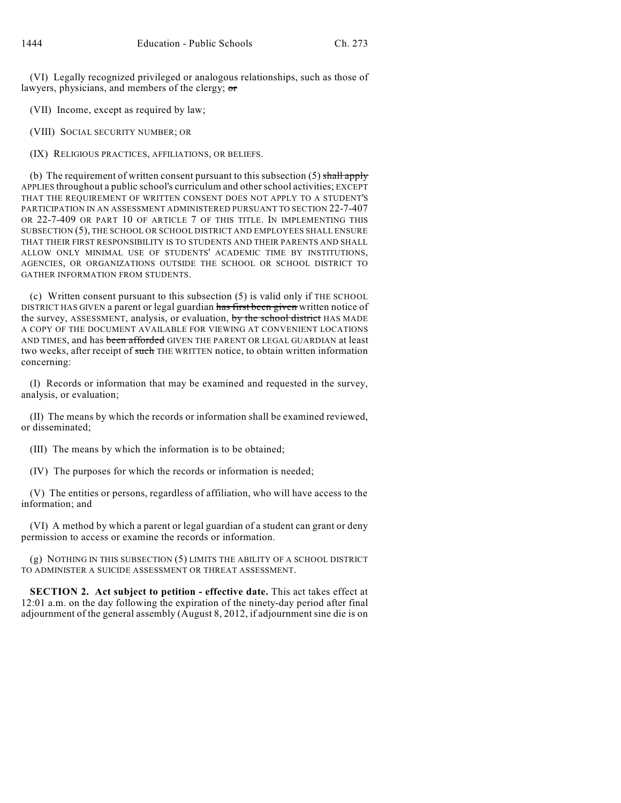(VI) Legally recognized privileged or analogous relationships, such as those of lawyers, physicians, and members of the clergy; or

(VII) Income, except as required by law;

(VIII) SOCIAL SECURITY NUMBER; OR

(IX) RELIGIOUS PRACTICES, AFFILIATIONS, OR BELIEFS.

(b) The requirement of written consent pursuant to this subsection  $(5)$  shall apply APPLIES throughout a public school's curriculum and otherschool activities; EXCEPT THAT THE REQUIREMENT OF WRITTEN CONSENT DOES NOT APPLY TO A STUDENT'S PARTICIPATION IN AN ASSESSMENT ADMINISTERED PURSUANT TO SECTION 22-7-407 OR 22-7-409 OR PART 10 OF ARTICLE 7 OF THIS TITLE. IN IMPLEMENTING THIS SUBSECTION (5), THE SCHOOL OR SCHOOL DISTRICT AND EMPLOYEES SHALL ENSURE THAT THEIR FIRST RESPONSIBILITY IS TO STUDENTS AND THEIR PARENTS AND SHALL ALLOW ONLY MINIMAL USE OF STUDENTS' ACADEMIC TIME BY INSTITUTIONS, AGENCIES, OR ORGANIZATIONS OUTSIDE THE SCHOOL OR SCHOOL DISTRICT TO GATHER INFORMATION FROM STUDENTS.

(c) Written consent pursuant to this subsection (5) is valid only if THE SCHOOL DISTRICT HAS GIVEN a parent or legal guardian has first been given written notice of the survey, ASSESSMENT, analysis, or evaluation, by the school district HAS MADE A COPY OF THE DOCUMENT AVAILABLE FOR VIEWING AT CONVENIENT LOCATIONS AND TIMES, and has been afforded GIVEN THE PARENT OR LEGAL GUARDIAN at least two weeks, after receipt of such THE WRITTEN notice, to obtain written information concerning:

(I) Records or information that may be examined and requested in the survey, analysis, or evaluation;

(II) The means by which the records or information shall be examined reviewed, or disseminated;

(III) The means by which the information is to be obtained;

(IV) The purposes for which the records or information is needed;

(V) The entities or persons, regardless of affiliation, who will have access to the information; and

(VI) A method by which a parent or legal guardian of a student can grant or deny permission to access or examine the records or information.

(g) NOTHING IN THIS SUBSECTION (5) LIMITS THE ABILITY OF A SCHOOL DISTRICT TO ADMINISTER A SUICIDE ASSESSMENT OR THREAT ASSESSMENT.

**SECTION 2. Act subject to petition - effective date.** This act takes effect at 12:01 a.m. on the day following the expiration of the ninety-day period after final adjournment of the general assembly (August 8, 2012, if adjournment sine die is on